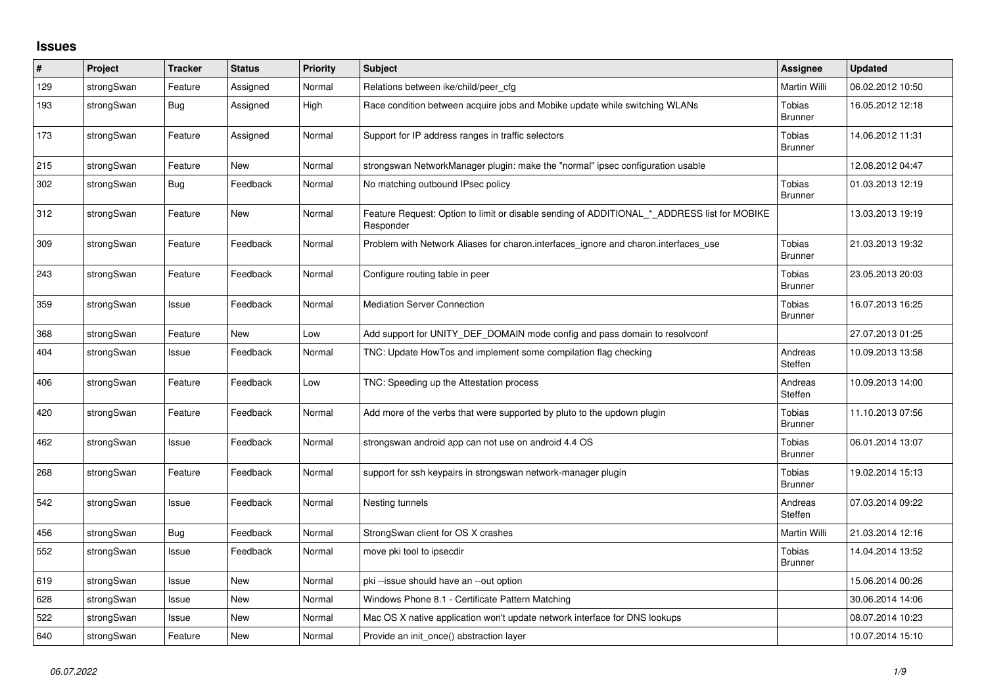## **Issues**

| $\#$ | Project    | <b>Tracker</b> | <b>Status</b> | <b>Priority</b> | <b>Subject</b>                                                                                           | Assignee                 | <b>Updated</b>   |
|------|------------|----------------|---------------|-----------------|----------------------------------------------------------------------------------------------------------|--------------------------|------------------|
| 129  | strongSwan | Feature        | Assigned      | Normal          | Relations between ike/child/peer cfg                                                                     | Martin Willi             | 06.02.2012 10:50 |
| 193  | strongSwan | Bug            | Assigned      | High            | Race condition between acquire jobs and Mobike update while switching WLANs                              | Tobias<br><b>Brunner</b> | 16.05.2012 12:18 |
| 173  | strongSwan | Feature        | Assigned      | Normal          | Support for IP address ranges in traffic selectors                                                       | Tobias<br><b>Brunner</b> | 14.06.2012 11:31 |
| 215  | strongSwan | Feature        | <b>New</b>    | Normal          | strongswan NetworkManager plugin: make the "normal" ipsec configuration usable                           |                          | 12.08.2012 04:47 |
| 302  | strongSwan | Bug            | Feedback      | Normal          | No matching outbound IPsec policy                                                                        | Tobias<br><b>Brunner</b> | 01.03.2013 12:19 |
| 312  | strongSwan | Feature        | <b>New</b>    | Normal          | Feature Request: Option to limit or disable sending of ADDITIONAL_*_ADDRESS list for MOBIKE<br>Responder |                          | 13.03.2013 19:19 |
| 309  | strongSwan | Feature        | Feedback      | Normal          | Problem with Network Aliases for charon.interfaces_ignore and charon.interfaces_use                      | Tobias<br><b>Brunner</b> | 21.03.2013 19:32 |
| 243  | strongSwan | Feature        | Feedback      | Normal          | Configure routing table in peer                                                                          | Tobias<br><b>Brunner</b> | 23.05.2013 20:03 |
| 359  | strongSwan | Issue          | Feedback      | Normal          | <b>Mediation Server Connection</b>                                                                       | Tobias<br><b>Brunner</b> | 16.07.2013 16:25 |
| 368  | strongSwan | Feature        | <b>New</b>    | Low             | Add support for UNITY_DEF_DOMAIN mode config and pass domain to resolvconf                               |                          | 27.07.2013 01:25 |
| 404  | strongSwan | Issue          | Feedback      | Normal          | TNC: Update HowTos and implement some compilation flag checking                                          | Andreas<br>Steffen       | 10.09.2013 13:58 |
| 406  | strongSwan | Feature        | Feedback      | Low             | TNC: Speeding up the Attestation process                                                                 | Andreas<br>Steffen       | 10.09.2013 14:00 |
| 420  | strongSwan | Feature        | Feedback      | Normal          | Add more of the verbs that were supported by pluto to the updown plugin                                  | Tobias<br><b>Brunner</b> | 11.10.2013 07:56 |
| 462  | strongSwan | Issue          | Feedback      | Normal          | strongswan android app can not use on android 4.4 OS                                                     | Tobias<br><b>Brunner</b> | 06.01.2014 13:07 |
| 268  | strongSwan | Feature        | Feedback      | Normal          | support for ssh keypairs in strongswan network-manager plugin                                            | Tobias<br><b>Brunner</b> | 19.02.2014 15:13 |
| 542  | strongSwan | Issue          | Feedback      | Normal          | Nesting tunnels                                                                                          | Andreas<br>Steffen       | 07.03.2014 09:22 |
| 456  | strongSwan | <b>Bug</b>     | Feedback      | Normal          | StrongSwan client for OS X crashes                                                                       | Martin Willi             | 21.03.2014 12:16 |
| 552  | strongSwan | Issue          | Feedback      | Normal          | move pki tool to ipsecdir                                                                                | Tobias<br><b>Brunner</b> | 14.04.2014 13:52 |
| 619  | strongSwan | Issue          | <b>New</b>    | Normal          | pki-issue should have an --out option                                                                    |                          | 15.06.2014 00:26 |
| 628  | strongSwan | Issue          | <b>New</b>    | Normal          | Windows Phone 8.1 - Certificate Pattern Matching                                                         |                          | 30.06.2014 14:06 |
| 522  | strongSwan | Issue          | New           | Normal          | Mac OS X native application won't update network interface for DNS lookups                               |                          | 08.07.2014 10:23 |
| 640  | strongSwan | Feature        | <b>New</b>    | Normal          | Provide an init_once() abstraction layer                                                                 |                          | 10.07.2014 15:10 |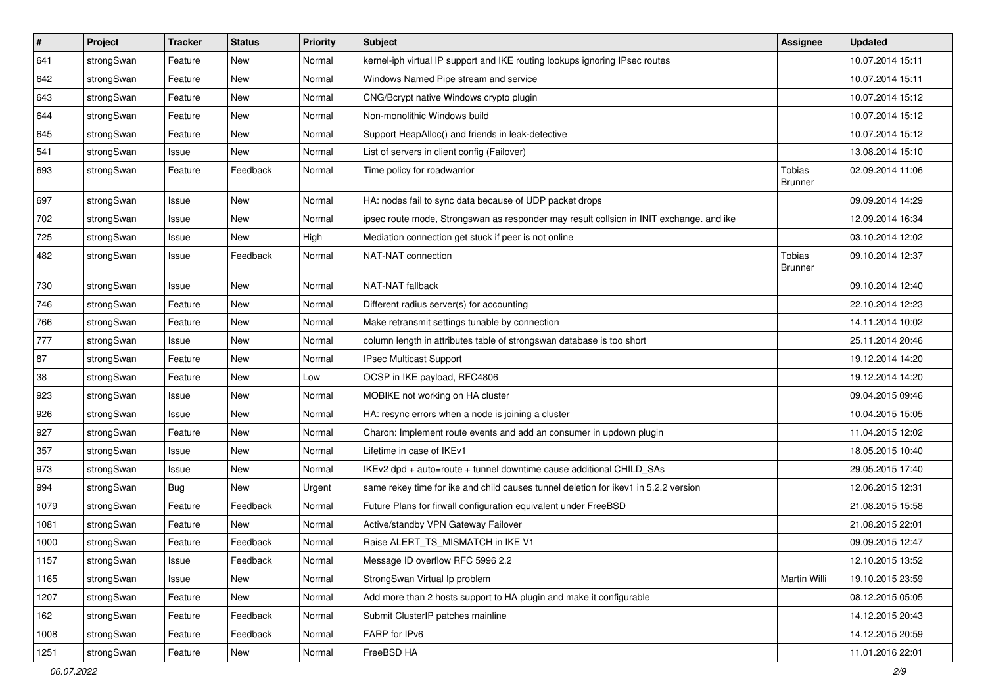| $\vert$ # | Project    | <b>Tracker</b> | <b>Status</b> | Priority | <b>Subject</b>                                                                          | <b>Assignee</b>                 | <b>Updated</b>   |
|-----------|------------|----------------|---------------|----------|-----------------------------------------------------------------------------------------|---------------------------------|------------------|
| 641       | strongSwan | Feature        | New           | Normal   | kernel-iph virtual IP support and IKE routing lookups ignoring IPsec routes             |                                 | 10.07.2014 15:11 |
| 642       | strongSwan | Feature        | New           | Normal   | Windows Named Pipe stream and service                                                   |                                 | 10.07.2014 15:11 |
| 643       | strongSwan | Feature        | New           | Normal   | CNG/Bcrypt native Windows crypto plugin                                                 |                                 | 10.07.2014 15:12 |
| 644       | strongSwan | Feature        | New           | Normal   | Non-monolithic Windows build                                                            |                                 | 10.07.2014 15:12 |
| 645       | strongSwan | Feature        | New           | Normal   | Support HeapAlloc() and friends in leak-detective                                       |                                 | 10.07.2014 15:12 |
| 541       | strongSwan | Issue          | New           | Normal   | List of servers in client config (Failover)                                             |                                 | 13.08.2014 15:10 |
| 693       | strongSwan | Feature        | Feedback      | Normal   | Time policy for roadwarrior                                                             | <b>Tobias</b><br><b>Brunner</b> | 02.09.2014 11:06 |
| 697       | strongSwan | Issue          | <b>New</b>    | Normal   | HA: nodes fail to sync data because of UDP packet drops                                 |                                 | 09.09.2014 14:29 |
| 702       | strongSwan | Issue          | <b>New</b>    | Normal   | ipsec route mode, Strongswan as responder may result collsion in INIT exchange. and ike |                                 | 12.09.2014 16:34 |
| 725       | strongSwan | Issue          | New           | High     | Mediation connection get stuck if peer is not online                                    |                                 | 03.10.2014 12:02 |
| 482       | strongSwan | Issue          | Feedback      | Normal   | NAT-NAT connection                                                                      | Tobias<br><b>Brunner</b>        | 09.10.2014 12:37 |
| 730       | strongSwan | Issue          | <b>New</b>    | Normal   | NAT-NAT fallback                                                                        |                                 | 09.10.2014 12:40 |
| 746       | strongSwan | Feature        | New           | Normal   | Different radius server(s) for accounting                                               |                                 | 22.10.2014 12:23 |
| 766       | strongSwan | Feature        | New           | Normal   | Make retransmit settings tunable by connection                                          |                                 | 14.11.2014 10:02 |
| 777       | strongSwan | Issue          | <b>New</b>    | Normal   | column length in attributes table of strongswan database is too short                   |                                 | 25.11.2014 20:46 |
| 87        | strongSwan | Feature        | <b>New</b>    | Normal   | IPsec Multicast Support                                                                 |                                 | 19.12.2014 14:20 |
| 38        | strongSwan | Feature        | New           | Low      | OCSP in IKE payload, RFC4806                                                            |                                 | 19.12.2014 14:20 |
| 923       | strongSwan | Issue          | New           | Normal   | MOBIKE not working on HA cluster                                                        |                                 | 09.04.2015 09:46 |
| 926       | strongSwan | Issue          | <b>New</b>    | Normal   | HA: resync errors when a node is joining a cluster                                      |                                 | 10.04.2015 15:05 |
| 927       | strongSwan | Feature        | New           | Normal   | Charon: Implement route events and add an consumer in updown plugin                     |                                 | 11.04.2015 12:02 |
| 357       | strongSwan | Issue          | New           | Normal   | Lifetime in case of IKEv1                                                               |                                 | 18.05.2015 10:40 |
| 973       | strongSwan | Issue          | New           | Normal   | IKEv2 dpd + auto=route + tunnel downtime cause additional CHILD_SAs                     |                                 | 29.05.2015 17:40 |
| 994       | strongSwan | <b>Bug</b>     | New           | Urgent   | same rekey time for ike and child causes tunnel deletion for ikev1 in 5.2.2 version     |                                 | 12.06.2015 12:31 |
| 1079      | strongSwan | Feature        | Feedback      | Normal   | Future Plans for firwall configuration equivalent under FreeBSD                         |                                 | 21.08.2015 15:58 |
| 1081      | strongSwan | Feature        | New           | Normal   | Active/standby VPN Gateway Failover                                                     |                                 | 21.08.2015 22:01 |
| 1000      | strongSwan | Feature        | Feedback      | Normal   | Raise ALERT_TS_MISMATCH in IKE V1                                                       |                                 | 09.09.2015 12:47 |
| 1157      | strongSwan | Issue          | Feedback      | Normal   | Message ID overflow RFC 5996 2.2                                                        |                                 | 12.10.2015 13:52 |
| 1165      | strongSwan | Issue          | New           | Normal   | StrongSwan Virtual Ip problem                                                           | Martin Willi                    | 19.10.2015 23:59 |
| 1207      | strongSwan | Feature        | New           | Normal   | Add more than 2 hosts support to HA plugin and make it configurable                     |                                 | 08.12.2015 05:05 |
| 162       | strongSwan | Feature        | Feedback      | Normal   | Submit ClusterIP patches mainline                                                       |                                 | 14.12.2015 20:43 |
| 1008      | strongSwan | Feature        | Feedback      | Normal   | FARP for IPv6                                                                           |                                 | 14.12.2015 20:59 |
| 1251      | strongSwan | Feature        | New           | Normal   | FreeBSD HA                                                                              |                                 | 11.01.2016 22:01 |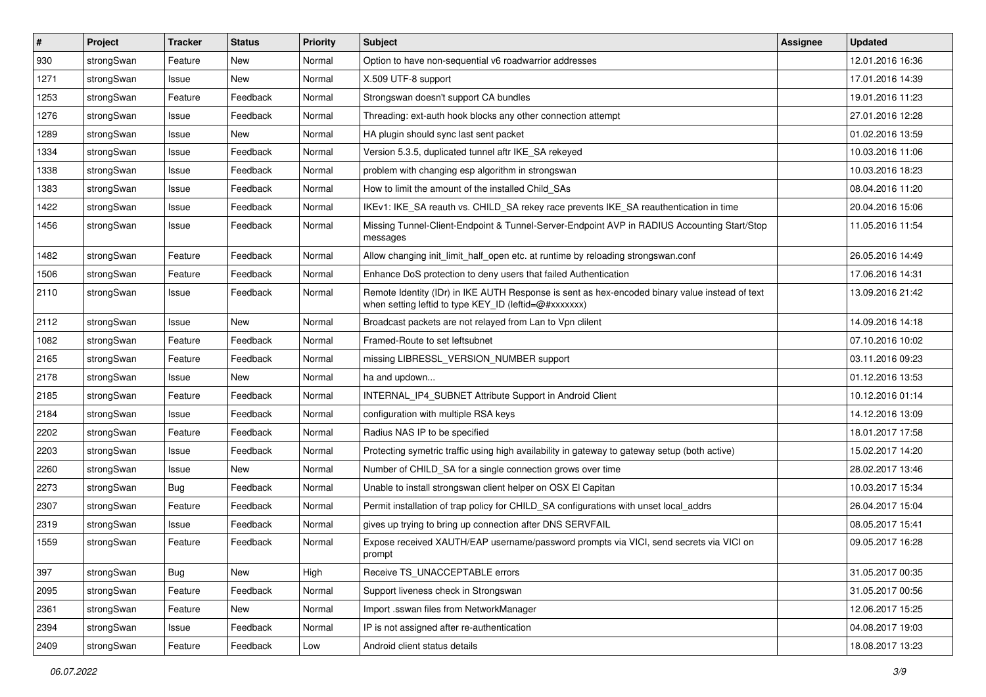| #    | Project    | <b>Tracker</b> | <b>Status</b> | <b>Priority</b> | <b>Subject</b>                                                                                                                                          | <b>Assignee</b> | <b>Updated</b>   |
|------|------------|----------------|---------------|-----------------|---------------------------------------------------------------------------------------------------------------------------------------------------------|-----------------|------------------|
| 930  | strongSwan | Feature        | New           | Normal          | Option to have non-sequential v6 roadwarrior addresses                                                                                                  |                 | 12.01.2016 16:36 |
| 1271 | strongSwan | Issue          | <b>New</b>    | Normal          | X.509 UTF-8 support                                                                                                                                     |                 | 17.01.2016 14:39 |
| 1253 | strongSwan | Feature        | Feedback      | Normal          | Strongswan doesn't support CA bundles                                                                                                                   |                 | 19.01.2016 11:23 |
| 1276 | strongSwan | Issue          | Feedback      | Normal          | Threading: ext-auth hook blocks any other connection attempt                                                                                            |                 | 27.01.2016 12:28 |
| 1289 | strongSwan | Issue          | New           | Normal          | HA plugin should sync last sent packet                                                                                                                  |                 | 01.02.2016 13:59 |
| 1334 | strongSwan | Issue          | Feedback      | Normal          | Version 5.3.5, duplicated tunnel aftr IKE SA rekeyed                                                                                                    |                 | 10.03.2016 11:06 |
| 1338 | strongSwan | Issue          | Feedback      | Normal          | problem with changing esp algorithm in strongswan                                                                                                       |                 | 10.03.2016 18:23 |
| 1383 | strongSwan | Issue          | Feedback      | Normal          | How to limit the amount of the installed Child_SAs                                                                                                      |                 | 08.04.2016 11:20 |
| 1422 | strongSwan | Issue          | Feedback      | Normal          | IKEv1: IKE_SA reauth vs. CHILD_SA rekey race prevents IKE_SA reauthentication in time                                                                   |                 | 20.04.2016 15:06 |
| 1456 | strongSwan | Issue          | Feedback      | Normal          | Missing Tunnel-Client-Endpoint & Tunnel-Server-Endpoint AVP in RADIUS Accounting Start/Stop<br>messages                                                 |                 | 11.05.2016 11:54 |
| 1482 | strongSwan | Feature        | Feedback      | Normal          | Allow changing init limit half open etc. at runtime by reloading strongswan.conf                                                                        |                 | 26.05.2016 14:49 |
| 1506 | strongSwan | Feature        | Feedback      | Normal          | Enhance DoS protection to deny users that failed Authentication                                                                                         |                 | 17.06.2016 14:31 |
| 2110 | strongSwan | Issue          | Feedback      | Normal          | Remote Identity (IDr) in IKE AUTH Response is sent as hex-encoded binary value instead of text<br>when setting leftid to type KEY_ID (leftid=@#xxxxxxx) |                 | 13.09.2016 21:42 |
| 2112 | strongSwan | Issue          | New           | Normal          | Broadcast packets are not relayed from Lan to Vpn clilent                                                                                               |                 | 14.09.2016 14:18 |
| 1082 | strongSwan | Feature        | Feedback      | Normal          | Framed-Route to set leftsubnet                                                                                                                          |                 | 07.10.2016 10:02 |
| 2165 | strongSwan | Feature        | Feedback      | Normal          | missing LIBRESSL_VERSION_NUMBER support                                                                                                                 |                 | 03.11.2016 09:23 |
| 2178 | strongSwan | Issue          | New           | Normal          | ha and updown                                                                                                                                           |                 | 01.12.2016 13:53 |
| 2185 | strongSwan | Feature        | Feedback      | Normal          | INTERNAL_IP4_SUBNET Attribute Support in Android Client                                                                                                 |                 | 10.12.2016 01:14 |
| 2184 | strongSwan | Issue          | Feedback      | Normal          | configuration with multiple RSA keys                                                                                                                    |                 | 14.12.2016 13:09 |
| 2202 | strongSwan | Feature        | Feedback      | Normal          | Radius NAS IP to be specified                                                                                                                           |                 | 18.01.2017 17:58 |
| 2203 | strongSwan | Issue          | Feedback      | Normal          | Protecting symetric traffic using high availability in gateway to gateway setup (both active)                                                           |                 | 15.02.2017 14:20 |
| 2260 | strongSwan | Issue          | New           | Normal          | Number of CHILD_SA for a single connection grows over time                                                                                              |                 | 28.02.2017 13:46 |
| 2273 | strongSwan | Bug            | Feedback      | Normal          | Unable to install strongswan client helper on OSX El Capitan                                                                                            |                 | 10.03.2017 15:34 |
| 2307 | strongSwan | Feature        | Feedback      | Normal          | Permit installation of trap policy for CHILD_SA configurations with unset local_addrs                                                                   |                 | 26.04.2017 15:04 |
| 2319 | strongSwan | Issue          | Feedback      | Normal          | gives up trying to bring up connection after DNS SERVFAIL                                                                                               |                 | 08.05.2017 15:41 |
| 1559 | strongSwan | Feature        | Feedback      | Normal          | Expose received XAUTH/EAP username/password prompts via VICI, send secrets via VICI on<br>prompt                                                        |                 | 09.05.2017 16:28 |
| 397  | strongSwan | Bug            | New           | High            | Receive TS_UNACCEPTABLE errors                                                                                                                          |                 | 31.05.2017 00:35 |
| 2095 | strongSwan | Feature        | Feedback      | Normal          | Support liveness check in Strongswan                                                                                                                    |                 | 31.05.2017 00:56 |
| 2361 | strongSwan | Feature        | New           | Normal          | Import .sswan files from NetworkManager                                                                                                                 |                 | 12.06.2017 15:25 |
| 2394 | strongSwan | Issue          | Feedback      | Normal          | IP is not assigned after re-authentication                                                                                                              |                 | 04.08.2017 19:03 |
| 2409 | strongSwan | Feature        | Feedback      | Low             | Android client status details                                                                                                                           |                 | 18.08.2017 13:23 |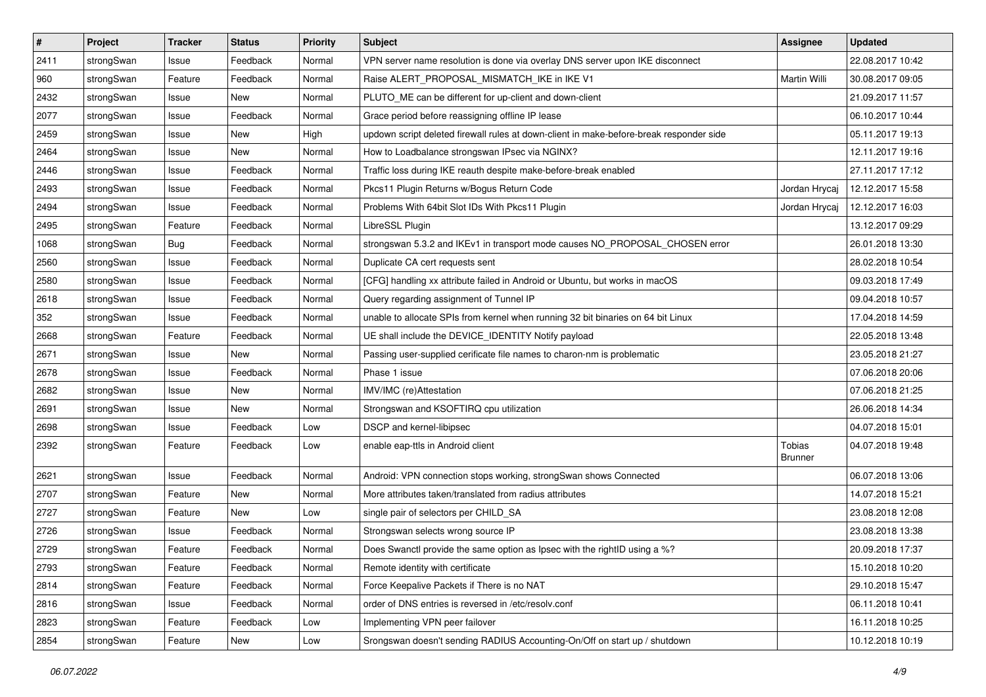| $\sharp$ | Project    | <b>Tracker</b> | <b>Status</b> | <b>Priority</b> | <b>Subject</b>                                                                          | Assignee                 | <b>Updated</b>   |
|----------|------------|----------------|---------------|-----------------|-----------------------------------------------------------------------------------------|--------------------------|------------------|
| 2411     | strongSwan | Issue          | Feedback      | Normal          | VPN server name resolution is done via overlay DNS server upon IKE disconnect           |                          | 22.08.2017 10:42 |
| 960      | strongSwan | Feature        | Feedback      | Normal          | Raise ALERT_PROPOSAL_MISMATCH_IKE in IKE V1                                             | Martin Willi             | 30.08.2017 09:05 |
| 2432     | strongSwan | Issue          | New           | Normal          | PLUTO ME can be different for up-client and down-client                                 |                          | 21.09.2017 11:57 |
| 2077     | strongSwan | Issue          | Feedback      | Normal          | Grace period before reassigning offline IP lease                                        |                          | 06.10.2017 10:44 |
| 2459     | strongSwan | Issue          | <b>New</b>    | High            | updown script deleted firewall rules at down-client in make-before-break responder side |                          | 05.11.2017 19:13 |
| 2464     | strongSwan | Issue          | New           | Normal          | How to Loadbalance strongswan IPsec via NGINX?                                          |                          | 12.11.2017 19:16 |
| 2446     | strongSwan | Issue          | Feedback      | Normal          | Traffic loss during IKE reauth despite make-before-break enabled                        |                          | 27.11.2017 17:12 |
| 2493     | strongSwan | Issue          | Feedback      | Normal          | Pkcs11 Plugin Returns w/Bogus Return Code                                               | Jordan Hrycaj            | 12.12.2017 15:58 |
| 2494     | strongSwan | Issue          | Feedback      | Normal          | Problems With 64bit Slot IDs With Pkcs11 Plugin                                         | Jordan Hrycaj            | 12.12.2017 16:03 |
| 2495     | strongSwan | Feature        | Feedback      | Normal          | LibreSSL Plugin                                                                         |                          | 13.12.2017 09:29 |
| 1068     | strongSwan | <b>Bug</b>     | Feedback      | Normal          | strongswan 5.3.2 and IKEv1 in transport mode causes NO_PROPOSAL_CHOSEN error            |                          | 26.01.2018 13:30 |
| 2560     | strongSwan | Issue          | Feedback      | Normal          | Duplicate CA cert requests sent                                                         |                          | 28.02.2018 10:54 |
| 2580     | strongSwan | Issue          | Feedback      | Normal          | [CFG] handling xx attribute failed in Android or Ubuntu, but works in macOS             |                          | 09.03.2018 17:49 |
| 2618     | strongSwan | Issue          | Feedback      | Normal          | Query regarding assignment of Tunnel IP                                                 |                          | 09.04.2018 10:57 |
| 352      | strongSwan | Issue          | Feedback      | Normal          | unable to allocate SPIs from kernel when running 32 bit binaries on 64 bit Linux        |                          | 17.04.2018 14:59 |
| 2668     | strongSwan | Feature        | Feedback      | Normal          | UE shall include the DEVICE_IDENTITY Notify payload                                     |                          | 22.05.2018 13:48 |
| 2671     | strongSwan | Issue          | New           | Normal          | Passing user-supplied cerificate file names to charon-nm is problematic                 |                          | 23.05.2018 21:27 |
| 2678     | strongSwan | Issue          | Feedback      | Normal          | Phase 1 issue                                                                           |                          | 07.06.2018 20:06 |
| 2682     | strongSwan | Issue          | New           | Normal          | IMV/IMC (re)Attestation                                                                 |                          | 07.06.2018 21:25 |
| 2691     | strongSwan | Issue          | New           | Normal          | Strongswan and KSOFTIRQ cpu utilization                                                 |                          | 26.06.2018 14:34 |
| 2698     | strongSwan | Issue          | Feedback      | Low             | DSCP and kernel-libipsec                                                                |                          | 04.07.2018 15:01 |
| 2392     | strongSwan | Feature        | Feedback      | Low             | enable eap-ttls in Android client                                                       | Tobias<br><b>Brunner</b> | 04.07.2018 19:48 |
| 2621     | strongSwan | Issue          | Feedback      | Normal          | Android: VPN connection stops working, strongSwan shows Connected                       |                          | 06.07.2018 13:06 |
| 2707     | strongSwan | Feature        | New           | Normal          | More attributes taken/translated from radius attributes                                 |                          | 14.07.2018 15:21 |
| 2727     | strongSwan | Feature        | <b>New</b>    | Low             | single pair of selectors per CHILD_SA                                                   |                          | 23.08.2018 12:08 |
| 2726     | strongSwan | Issue          | Feedback      | Normal          | Strongswan selects wrong source IP                                                      |                          | 23.08.2018 13:38 |
| 2729     | strongSwan | Feature        | Feedback      | Normal          | Does Swanctl provide the same option as Ipsec with the rightID using a %?               |                          | 20.09.2018 17:37 |
| 2793     | strongSwan | Feature        | Feedback      | Normal          | Remote identity with certificate                                                        |                          | 15.10.2018 10:20 |
| 2814     | strongSwan | Feature        | Feedback      | Normal          | Force Keepalive Packets if There is no NAT                                              |                          | 29.10.2018 15:47 |
| 2816     | strongSwan | Issue          | Feedback      | Normal          | order of DNS entries is reversed in /etc/resolv.conf                                    |                          | 06.11.2018 10:41 |
| 2823     | strongSwan | Feature        | Feedback      | Low             | Implementing VPN peer failover                                                          |                          | 16.11.2018 10:25 |
| 2854     | strongSwan | Feature        | New           | Low             | Srongswan doesn't sending RADIUS Accounting-On/Off on start up / shutdown               |                          | 10.12.2018 10:19 |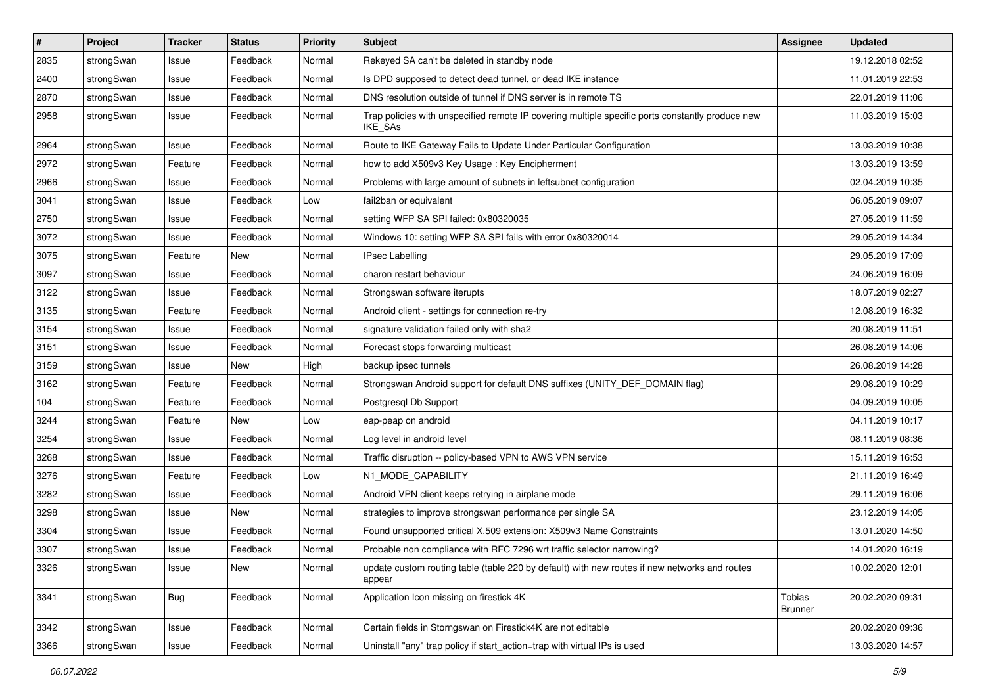| $\vert$ # | Project    | <b>Tracker</b> | <b>Status</b> | <b>Priority</b> | Subject                                                                                                            | <b>Assignee</b>                 | <b>Updated</b>   |
|-----------|------------|----------------|---------------|-----------------|--------------------------------------------------------------------------------------------------------------------|---------------------------------|------------------|
| 2835      | strongSwan | Issue          | Feedback      | Normal          | Rekeyed SA can't be deleted in standby node                                                                        |                                 | 19.12.2018 02:52 |
| 2400      | strongSwan | Issue          | Feedback      | Normal          | Is DPD supposed to detect dead tunnel, or dead IKE instance                                                        |                                 | 11.01.2019 22:53 |
| 2870      | strongSwan | Issue          | Feedback      | Normal          | DNS resolution outside of tunnel if DNS server is in remote TS                                                     |                                 | 22.01.2019 11:06 |
| 2958      | strongSwan | Issue          | Feedback      | Normal          | Trap policies with unspecified remote IP covering multiple specific ports constantly produce new<br><b>IKE SAs</b> |                                 | 11.03.2019 15:03 |
| 2964      | strongSwan | Issue          | Feedback      | Normal          | Route to IKE Gateway Fails to Update Under Particular Configuration                                                |                                 | 13.03.2019 10:38 |
| 2972      | strongSwan | Feature        | Feedback      | Normal          | how to add X509v3 Key Usage: Key Encipherment                                                                      |                                 | 13.03.2019 13:59 |
| 2966      | strongSwan | Issue          | Feedback      | Normal          | Problems with large amount of subnets in leftsubnet configuration                                                  |                                 | 02.04.2019 10:35 |
| 3041      | strongSwan | Issue          | Feedback      | Low             | fail2ban or equivalent                                                                                             |                                 | 06.05.2019 09:07 |
| 2750      | strongSwan | Issue          | Feedback      | Normal          | setting WFP SA SPI failed: 0x80320035                                                                              |                                 | 27.05.2019 11:59 |
| 3072      | strongSwan | Issue          | Feedback      | Normal          | Windows 10: setting WFP SA SPI fails with error 0x80320014                                                         |                                 | 29.05.2019 14:34 |
| 3075      | strongSwan | Feature        | New           | Normal          | <b>IPsec Labelling</b>                                                                                             |                                 | 29.05.2019 17:09 |
| 3097      | strongSwan | Issue          | Feedback      | Normal          | charon restart behaviour                                                                                           |                                 | 24.06.2019 16:09 |
| 3122      | strongSwan | Issue          | Feedback      | Normal          | Strongswan software iterupts                                                                                       |                                 | 18.07.2019 02:27 |
| 3135      | strongSwan | Feature        | Feedback      | Normal          | Android client - settings for connection re-try                                                                    |                                 | 12.08.2019 16:32 |
| 3154      | strongSwan | Issue          | Feedback      | Normal          | signature validation failed only with sha2                                                                         |                                 | 20.08.2019 11:51 |
| 3151      | strongSwan | Issue          | Feedback      | Normal          | Forecast stops forwarding multicast                                                                                |                                 | 26.08.2019 14:06 |
| 3159      | strongSwan | Issue          | New           | High            | backup ipsec tunnels                                                                                               |                                 | 26.08.2019 14:28 |
| 3162      | strongSwan | Feature        | Feedback      | Normal          | Strongswan Android support for default DNS suffixes (UNITY_DEF_DOMAIN flag)                                        |                                 | 29.08.2019 10:29 |
| 104       | strongSwan | Feature        | Feedback      | Normal          | Postgresql Db Support                                                                                              |                                 | 04.09.2019 10:05 |
| 3244      | strongSwan | Feature        | New           | Low             | eap-peap on android                                                                                                |                                 | 04.11.2019 10:17 |
| 3254      | strongSwan | Issue          | Feedback      | Normal          | Log level in android level                                                                                         |                                 | 08.11.2019 08:36 |
| 3268      | strongSwan | Issue          | Feedback      | Normal          | Traffic disruption -- policy-based VPN to AWS VPN service                                                          |                                 | 15.11.2019 16:53 |
| 3276      | strongSwan | Feature        | Feedback      | Low             | N1_MODE_CAPABILITY                                                                                                 |                                 | 21.11.2019 16:49 |
| 3282      | strongSwan | Issue          | Feedback      | Normal          | Android VPN client keeps retrying in airplane mode                                                                 |                                 | 29.11.2019 16:06 |
| 3298      | strongSwan | Issue          | <b>New</b>    | Normal          | strategies to improve strongswan performance per single SA                                                         |                                 | 23.12.2019 14:05 |
| 3304      | strongSwan | Issue          | Feedback      | Normal          | Found unsupported critical X.509 extension: X509v3 Name Constraints                                                |                                 | 13.01.2020 14:50 |
| 3307      | strongSwan | Issue          | Feedback      | Normal          | Probable non compliance with RFC 7296 wrt traffic selector narrowing?                                              |                                 | 14.01.2020 16:19 |
| 3326      | strongSwan | Issue          | New           | Normal          | update custom routing table (table 220 by default) with new routes if new networks and routes<br>appear            |                                 | 10.02.2020 12:01 |
| 3341      | strongSwan | Bug            | Feedback      | Normal          | Application Icon missing on firestick 4K                                                                           | <b>Tobias</b><br><b>Brunner</b> | 20.02.2020 09:31 |
| 3342      | strongSwan | Issue          | Feedback      | Normal          | Certain fields in Storngswan on Firestick4K are not editable                                                       |                                 | 20.02.2020 09:36 |
| 3366      | strongSwan | Issue          | Feedback      | Normal          | Uninstall "any" trap policy if start_action=trap with virtual IPs is used                                          |                                 | 13.03.2020 14:57 |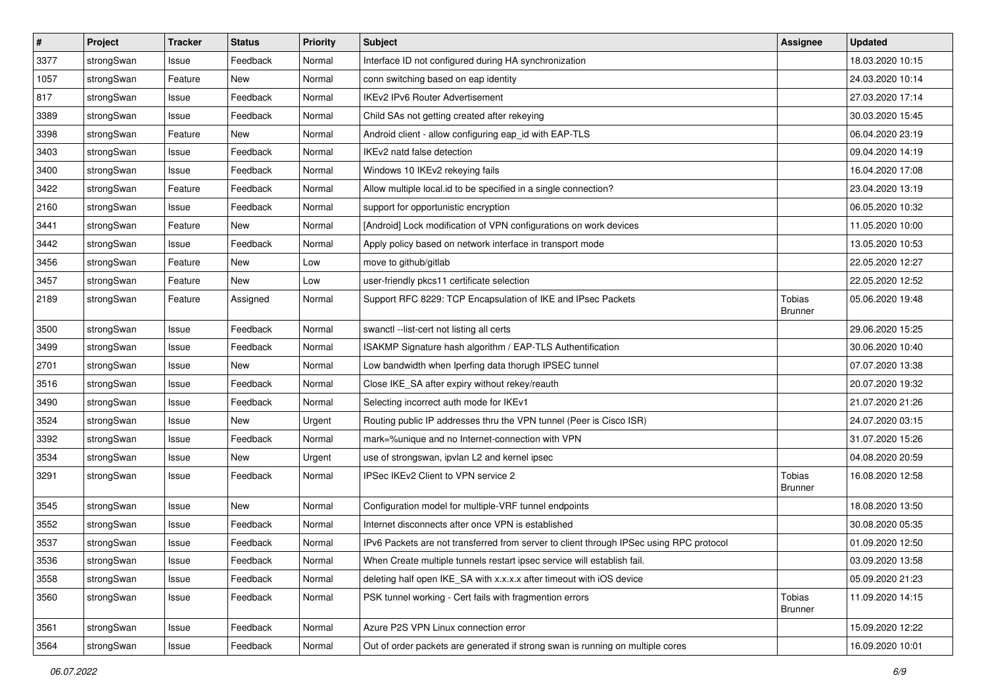| $\pmb{\#}$ | Project    | <b>Tracker</b> | <b>Status</b> | <b>Priority</b> | <b>Subject</b>                                                                          | <b>Assignee</b>                 | <b>Updated</b>   |
|------------|------------|----------------|---------------|-----------------|-----------------------------------------------------------------------------------------|---------------------------------|------------------|
| 3377       | strongSwan | Issue          | Feedback      | Normal          | Interface ID not configured during HA synchronization                                   |                                 | 18.03.2020 10:15 |
| 1057       | strongSwan | Feature        | New           | Normal          | conn switching based on eap identity                                                    |                                 | 24.03.2020 10:14 |
| 817        | strongSwan | Issue          | Feedback      | Normal          | <b>IKEv2 IPv6 Router Advertisement</b>                                                  |                                 | 27.03.2020 17:14 |
| 3389       | strongSwan | Issue          | Feedback      | Normal          | Child SAs not getting created after rekeying                                            |                                 | 30.03.2020 15:45 |
| 3398       | strongSwan | Feature        | New           | Normal          | Android client - allow configuring eap_id with EAP-TLS                                  |                                 | 06.04.2020 23:19 |
| 3403       | strongSwan | Issue          | Feedback      | Normal          | IKEv2 natd false detection                                                              |                                 | 09.04.2020 14:19 |
| 3400       | strongSwan | Issue          | Feedback      | Normal          | Windows 10 IKEv2 rekeying fails                                                         |                                 | 16.04.2020 17:08 |
| 3422       | strongSwan | Feature        | Feedback      | Normal          | Allow multiple local id to be specified in a single connection?                         |                                 | 23.04.2020 13:19 |
| 2160       | strongSwan | Issue          | Feedback      | Normal          | support for opportunistic encryption                                                    |                                 | 06.05.2020 10:32 |
| 3441       | strongSwan | Feature        | New           | Normal          | [Android] Lock modification of VPN configurations on work devices                       |                                 | 11.05.2020 10:00 |
| 3442       | strongSwan | Issue          | Feedback      | Normal          | Apply policy based on network interface in transport mode                               |                                 | 13.05.2020 10:53 |
| 3456       | strongSwan | Feature        | New           | Low             | move to github/gitlab                                                                   |                                 | 22.05.2020 12:27 |
| 3457       | strongSwan | Feature        | New           | Low             | user-friendly pkcs11 certificate selection                                              |                                 | 22.05.2020 12:52 |
| 2189       | strongSwan | Feature        | Assigned      | Normal          | Support RFC 8229: TCP Encapsulation of IKE and IPsec Packets                            | Tobias<br><b>Brunner</b>        | 05.06.2020 19:48 |
| 3500       | strongSwan | Issue          | Feedback      | Normal          | swanctl --list-cert not listing all certs                                               |                                 | 29.06.2020 15:25 |
| 3499       | strongSwan | Issue          | Feedback      | Normal          | ISAKMP Signature hash algorithm / EAP-TLS Authentification                              |                                 | 30.06.2020 10:40 |
| 2701       | strongSwan | Issue          | New           | Normal          | Low bandwidth when Iperfing data thorugh IPSEC tunnel                                   |                                 | 07.07.2020 13:38 |
| 3516       | strongSwan | Issue          | Feedback      | Normal          | Close IKE_SA after expiry without rekey/reauth                                          |                                 | 20.07.2020 19:32 |
| 3490       | strongSwan | Issue          | Feedback      | Normal          | Selecting incorrect auth mode for IKEv1                                                 |                                 | 21.07.2020 21:26 |
| 3524       | strongSwan | Issue          | New           | Urgent          | Routing public IP addresses thru the VPN tunnel (Peer is Cisco ISR)                     |                                 | 24.07.2020 03:15 |
| 3392       | strongSwan | Issue          | Feedback      | Normal          | mark=%unique and no Internet-connection with VPN                                        |                                 | 31.07.2020 15:26 |
| 3534       | strongSwan | Issue          | <b>New</b>    | Urgent          | use of strongswan, ipvlan L2 and kernel ipsec                                           |                                 | 04.08.2020 20:59 |
| 3291       | strongSwan | Issue          | Feedback      | Normal          | IPSec IKEv2 Client to VPN service 2                                                     | <b>Tobias</b><br><b>Brunner</b> | 16.08.2020 12:58 |
| 3545       | strongSwan | Issue          | <b>New</b>    | Normal          | Configuration model for multiple-VRF tunnel endpoints                                   |                                 | 18.08.2020 13:50 |
| 3552       | strongSwan | Issue          | Feedback      | Normal          | Internet disconnects after once VPN is established                                      |                                 | 30.08.2020 05:35 |
| 3537       | strongSwan | Issue          | Feedback      | Normal          | IPv6 Packets are not transferred from server to client through IPSec using RPC protocol |                                 | 01.09.2020 12:50 |
| 3536       | strongSwan | Issue          | Feedback      | Normal          | When Create multiple tunnels restart ipsec service will establish fail.                 |                                 | 03.09.2020 13:58 |
| 3558       | strongSwan | Issue          | Feedback      | Normal          | deleting half open IKE_SA with x.x.x.x after timeout with iOS device                    |                                 | 05.09.2020 21:23 |
| 3560       | strongSwan | Issue          | Feedback      | Normal          | PSK tunnel working - Cert fails with fragmention errors                                 | Tobias<br><b>Brunner</b>        | 11.09.2020 14:15 |
| 3561       | strongSwan | Issue          | Feedback      | Normal          | Azure P2S VPN Linux connection error                                                    |                                 | 15.09.2020 12:22 |
| 3564       | strongSwan | Issue          | Feedback      | Normal          | Out of order packets are generated if strong swan is running on multiple cores          |                                 | 16.09.2020 10:01 |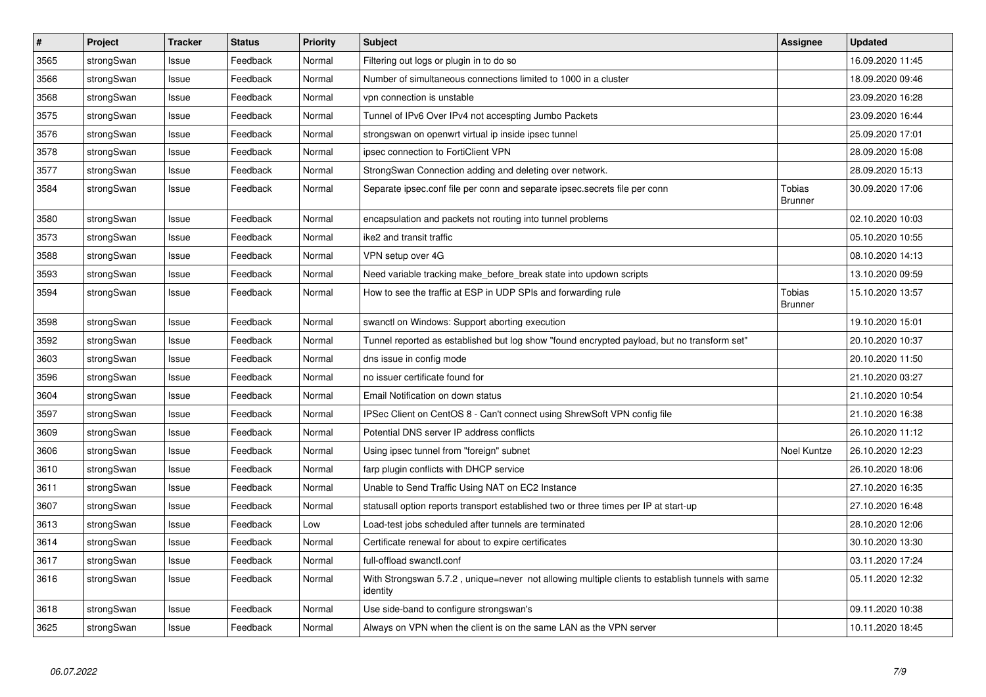| $\vert$ # | Project    | <b>Tracker</b> | <b>Status</b> | <b>Priority</b> | <b>Subject</b>                                                                                               | Assignee                 | <b>Updated</b>   |
|-----------|------------|----------------|---------------|-----------------|--------------------------------------------------------------------------------------------------------------|--------------------------|------------------|
| 3565      | strongSwan | Issue          | Feedback      | Normal          | Filtering out logs or plugin in to do so                                                                     |                          | 16.09.2020 11:45 |
| 3566      | strongSwan | Issue          | Feedback      | Normal          | Number of simultaneous connections limited to 1000 in a cluster                                              |                          | 18.09.2020 09:46 |
| 3568      | strongSwan | Issue          | Feedback      | Normal          | vpn connection is unstable                                                                                   |                          | 23.09.2020 16:28 |
| 3575      | strongSwan | Issue          | Feedback      | Normal          | Tunnel of IPv6 Over IPv4 not accespting Jumbo Packets                                                        |                          | 23.09.2020 16:44 |
| 3576      | strongSwan | Issue          | Feedback      | Normal          | strongswan on openwrt virtual ip inside ipsec tunnel                                                         |                          | 25.09.2020 17:01 |
| 3578      | strongSwan | Issue          | Feedback      | Normal          | ipsec connection to FortiClient VPN                                                                          |                          | 28.09.2020 15:08 |
| 3577      | strongSwan | Issue          | Feedback      | Normal          | StrongSwan Connection adding and deleting over network.                                                      |                          | 28.09.2020 15:13 |
| 3584      | strongSwan | Issue          | Feedback      | Normal          | Separate ipsec.conf file per conn and separate ipsec.secrets file per conn                                   | Tobias<br><b>Brunner</b> | 30.09.2020 17:06 |
| 3580      | strongSwan | Issue          | Feedback      | Normal          | encapsulation and packets not routing into tunnel problems                                                   |                          | 02.10.2020 10:03 |
| 3573      | strongSwan | Issue          | Feedback      | Normal          | ike2 and transit traffic                                                                                     |                          | 05.10.2020 10:55 |
| 3588      | strongSwan | Issue          | Feedback      | Normal          | VPN setup over 4G                                                                                            |                          | 08.10.2020 14:13 |
| 3593      | strongSwan | Issue          | Feedback      | Normal          | Need variable tracking make before break state into updown scripts                                           |                          | 13.10.2020 09:59 |
| 3594      | strongSwan | Issue          | Feedback      | Normal          | How to see the traffic at ESP in UDP SPIs and forwarding rule                                                | Tobias<br><b>Brunner</b> | 15.10.2020 13:57 |
| 3598      | strongSwan | Issue          | Feedback      | Normal          | swanctl on Windows: Support aborting execution                                                               |                          | 19.10.2020 15:01 |
| 3592      | strongSwan | Issue          | Feedback      | Normal          | Tunnel reported as established but log show "found encrypted payload, but no transform set"                  |                          | 20.10.2020 10:37 |
| 3603      | strongSwan | Issue          | Feedback      | Normal          | dns issue in config mode                                                                                     |                          | 20.10.2020 11:50 |
| 3596      | strongSwan | Issue          | Feedback      | Normal          | no issuer certificate found for                                                                              |                          | 21.10.2020 03:27 |
| 3604      | strongSwan | Issue          | Feedback      | Normal          | Email Notification on down status                                                                            |                          | 21.10.2020 10:54 |
| 3597      | strongSwan | Issue          | Feedback      | Normal          | IPSec Client on CentOS 8 - Can't connect using ShrewSoft VPN config file                                     |                          | 21.10.2020 16:38 |
| 3609      | strongSwan | Issue          | Feedback      | Normal          | Potential DNS server IP address conflicts                                                                    |                          | 26.10.2020 11:12 |
| 3606      | strongSwan | Issue          | Feedback      | Normal          | Using ipsec tunnel from "foreign" subnet                                                                     | Noel Kuntze              | 26.10.2020 12:23 |
| 3610      | strongSwan | Issue          | Feedback      | Normal          | farp plugin conflicts with DHCP service                                                                      |                          | 26.10.2020 18:06 |
| 3611      | strongSwan | Issue          | Feedback      | Normal          | Unable to Send Traffic Using NAT on EC2 Instance                                                             |                          | 27.10.2020 16:35 |
| 3607      | strongSwan | Issue          | Feedback      | Normal          | statusall option reports transport established two or three times per IP at start-up                         |                          | 27.10.2020 16:48 |
| 3613      | strongSwan | Issue          | Feedback      | Low             | Load-test jobs scheduled after tunnels are terminated                                                        |                          | 28.10.2020 12:06 |
| 3614      | strongSwan | Issue          | Feedback      | Normal          | Certificate renewal for about to expire certificates                                                         |                          | 30.10.2020 13:30 |
| 3617      | strongSwan | Issue          | Feedback      | Normal          | full-offload swanctl.conf                                                                                    |                          | 03.11.2020 17:24 |
| 3616      | strongSwan | Issue          | Feedback      | Normal          | With Strongswan 5.7.2, unique=never not allowing multiple clients to establish tunnels with same<br>identity |                          | 05.11.2020 12:32 |
| 3618      | strongSwan | Issue          | Feedback      | Normal          | Use side-band to configure strongswan's                                                                      |                          | 09.11.2020 10:38 |
| 3625      | strongSwan | Issue          | Feedback      | Normal          | Always on VPN when the client is on the same LAN as the VPN server                                           |                          | 10.11.2020 18:45 |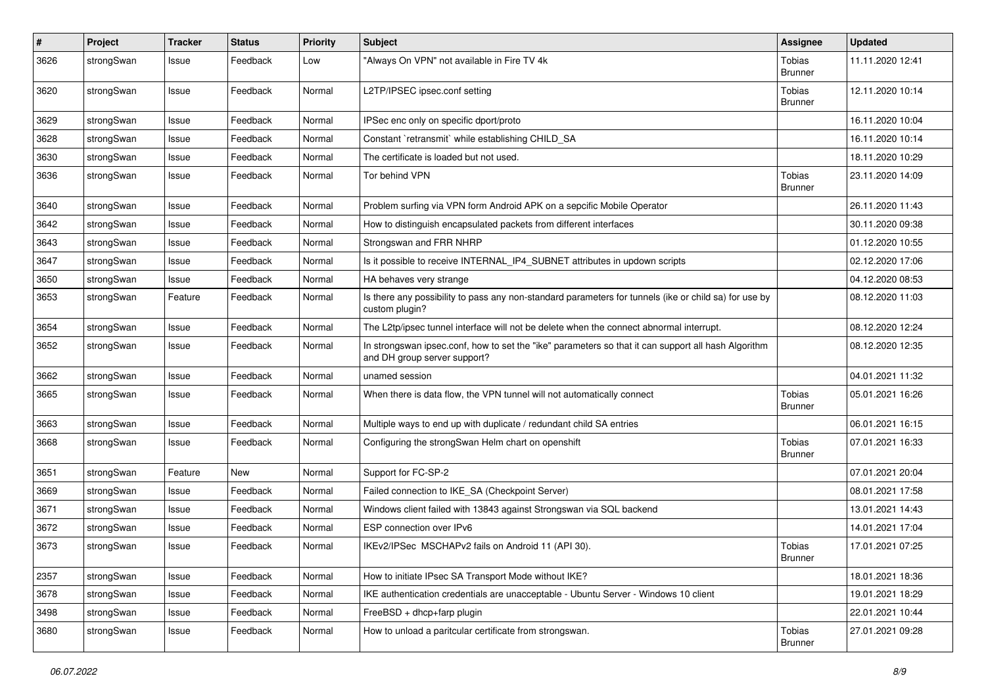| $\pmb{\#}$ | Project    | <b>Tracker</b> | <b>Status</b> | Priority | <b>Subject</b>                                                                                                                      | Assignee                        | <b>Updated</b>   |
|------------|------------|----------------|---------------|----------|-------------------------------------------------------------------------------------------------------------------------------------|---------------------------------|------------------|
| 3626       | strongSwan | Issue          | Feedback      | Low      | "Always On VPN" not available in Fire TV 4k                                                                                         | Tobias<br><b>Brunner</b>        | 11.11.2020 12:41 |
| 3620       | strongSwan | Issue          | Feedback      | Normal   | L2TP/IPSEC ipsec.conf setting                                                                                                       | Tobias<br><b>Brunner</b>        | 12.11.2020 10:14 |
| 3629       | strongSwan | Issue          | Feedback      | Normal   | IPSec enc only on specific dport/proto                                                                                              |                                 | 16.11.2020 10:04 |
| 3628       | strongSwan | Issue          | Feedback      | Normal   | Constant `retransmit` while establishing CHILD SA                                                                                   |                                 | 16.11.2020 10:14 |
| 3630       | strongSwan | Issue          | Feedback      | Normal   | The certificate is loaded but not used.                                                                                             |                                 | 18.11.2020 10:29 |
| 3636       | strongSwan | Issue          | Feedback      | Normal   | Tor behind VPN                                                                                                                      | Tobias<br><b>Brunner</b>        | 23.11.2020 14:09 |
| 3640       | strongSwan | Issue          | Feedback      | Normal   | Problem surfing via VPN form Android APK on a sepcific Mobile Operator                                                              |                                 | 26.11.2020 11:43 |
| 3642       | strongSwan | Issue          | Feedback      | Normal   | How to distinguish encapsulated packets from different interfaces                                                                   |                                 | 30.11.2020 09:38 |
| 3643       | strongSwan | Issue          | Feedback      | Normal   | Strongswan and FRR NHRP                                                                                                             |                                 | 01.12.2020 10:55 |
| 3647       | strongSwan | Issue          | Feedback      | Normal   | Is it possible to receive INTERNAL IP4 SUBNET attributes in updown scripts                                                          |                                 | 02.12.2020 17:06 |
| 3650       | strongSwan | Issue          | Feedback      | Normal   | HA behaves very strange                                                                                                             |                                 | 04.12.2020 08:53 |
| 3653       | strongSwan | Feature        | Feedback      | Normal   | Is there any possibility to pass any non-standard parameters for tunnels (ike or child sa) for use by<br>custom plugin?             |                                 | 08.12.2020 11:03 |
| 3654       | strongSwan | Issue          | Feedback      | Normal   | The L2tp/ipsec tunnel interface will not be delete when the connect abnormal interrupt.                                             |                                 | 08.12.2020 12:24 |
| 3652       | strongSwan | Issue          | Feedback      | Normal   | In strongswan ipsec.conf, how to set the "ike" parameters so that it can support all hash Algorithm<br>and DH group server support? |                                 | 08.12.2020 12:35 |
| 3662       | strongSwan | Issue          | Feedback      | Normal   | unamed session                                                                                                                      |                                 | 04.01.2021 11:32 |
| 3665       | strongSwan | Issue          | Feedback      | Normal   | When there is data flow, the VPN tunnel will not automatically connect                                                              | Tobias<br><b>Brunner</b>        | 05.01.2021 16:26 |
| 3663       | strongSwan | Issue          | Feedback      | Normal   | Multiple ways to end up with duplicate / redundant child SA entries                                                                 |                                 | 06.01.2021 16:15 |
| 3668       | strongSwan | Issue          | Feedback      | Normal   | Configuring the strongSwan Helm chart on openshift                                                                                  | <b>Tobias</b><br><b>Brunner</b> | 07.01.2021 16:33 |
| 3651       | strongSwan | Feature        | <b>New</b>    | Normal   | Support for FC-SP-2                                                                                                                 |                                 | 07.01.2021 20:04 |
| 3669       | strongSwan | Issue          | Feedback      | Normal   | Failed connection to IKE SA (Checkpoint Server)                                                                                     |                                 | 08.01.2021 17:58 |
| 3671       | strongSwan | Issue          | Feedback      | Normal   | Windows client failed with 13843 against Strongswan via SQL backend                                                                 |                                 | 13.01.2021 14:43 |
| 3672       | strongSwan | Issue          | Feedback      | Normal   | ESP connection over IPv6                                                                                                            |                                 | 14.01.2021 17:04 |
| 3673       | strongSwan | Issue          | Feedback      | Normal   | IKEv2/IPSec MSCHAPv2 fails on Android 11 (API 30).                                                                                  | Tobias<br><b>Brunner</b>        | 17.01.2021 07:25 |
| 2357       | strongSwan | Issue          | Feedback      | Normal   | How to initiate IPsec SA Transport Mode without IKE?                                                                                |                                 | 18.01.2021 18:36 |
| 3678       | strongSwan | Issue          | Feedback      | Normal   | IKE authentication credentials are unacceptable - Ubuntu Server - Windows 10 client                                                 |                                 | 19.01.2021 18:29 |
| 3498       | strongSwan | Issue          | Feedback      | Normal   | FreeBSD + dhcp+farp plugin                                                                                                          |                                 | 22.01.2021 10:44 |
| 3680       | strongSwan | Issue          | Feedback      | Normal   | How to unload a paritcular certificate from strongswan.                                                                             | Tobias<br><b>Brunner</b>        | 27.01.2021 09:28 |